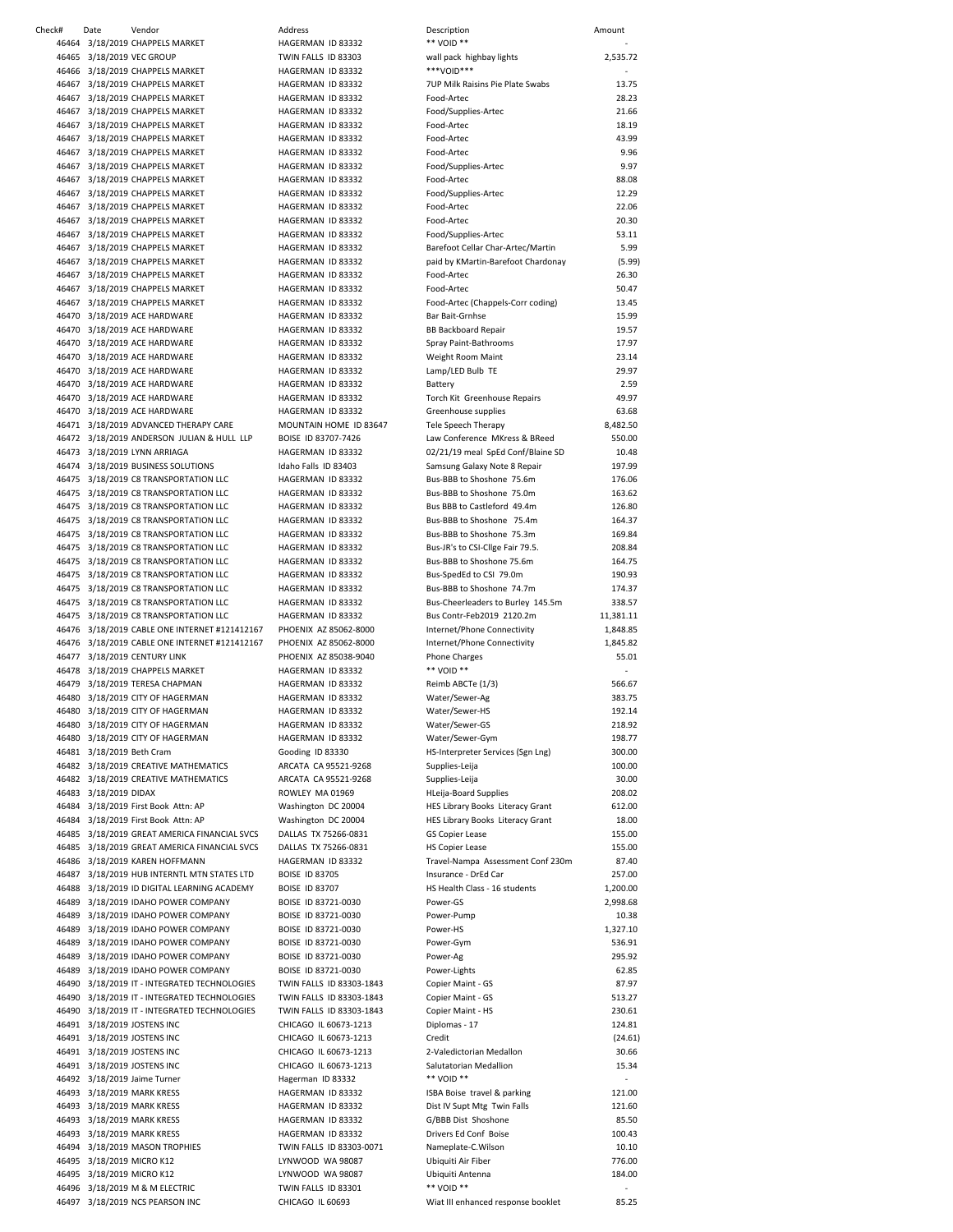| 46464 3/18/2019 CHAPPELS MARKET               | HAGERMAN ID 83332        | ** VOID **                         |                          |
|-----------------------------------------------|--------------------------|------------------------------------|--------------------------|
| 46465 3/18/2019 VEC GROUP                     | TWIN FALLS ID 83303      | wall pack highbay lights           | 2,535.72                 |
| 46466 3/18/2019 CHAPPELS MARKET               | HAGERMAN ID 83332        | ***VOID***                         |                          |
| 46467 3/18/2019 CHAPPELS MARKET               | HAGERMAN ID 83332        | 7UP Milk Raisins Pie Plate Swabs   | 13.75                    |
| 46467 3/18/2019 CHAPPELS MARKET               | HAGERMAN ID 83332        | Food-Artec                         | 28.23                    |
|                                               |                          |                                    |                          |
| 46467 3/18/2019 CHAPPELS MARKET               | HAGERMAN ID 83332        | Food/Supplies-Artec                | 21.66                    |
| 46467 3/18/2019 CHAPPELS MARKET               | HAGERMAN ID 83332        | Food-Artec                         | 18.19                    |
| 46467 3/18/2019 CHAPPELS MARKET               | HAGERMAN ID 83332        | Food-Artec                         | 43.99                    |
| 46467 3/18/2019 CHAPPELS MARKET               | HAGERMAN ID 83332        | Food-Artec                         | 9.96                     |
| 46467 3/18/2019 CHAPPELS MARKET               | HAGERMAN ID 83332        | Food/Supplies-Artec                | 9.97                     |
| 46467 3/18/2019 CHAPPELS MARKET               | HAGERMAN ID 83332        | Food-Artec                         | 88.08                    |
|                                               |                          |                                    |                          |
| 46467 3/18/2019 CHAPPELS MARKET               | HAGERMAN ID 83332        | Food/Supplies-Artec                | 12.29                    |
| 46467 3/18/2019 CHAPPELS MARKET               | HAGERMAN ID 83332        | Food-Artec                         | 22.06                    |
| 46467 3/18/2019 CHAPPELS MARKET               | HAGERMAN ID 83332        | Food-Artec                         | 20.30                    |
| 46467 3/18/2019 CHAPPELS MARKET               | HAGERMAN ID 83332        | Food/Supplies-Artec                | 53.11                    |
| 46467 3/18/2019 CHAPPELS MARKET               | HAGERMAN ID 83332        | Barefoot Cellar Char-Artec/Martin  | 5.99                     |
|                                               | HAGERMAN ID 83332        |                                    |                          |
| 46467 3/18/2019 CHAPPELS MARKET               |                          | paid by KMartin-Barefoot Chardonay | (5.99)                   |
| 46467 3/18/2019 CHAPPELS MARKET               | HAGERMAN ID 83332        | Food-Artec                         | 26.30                    |
| 46467 3/18/2019 CHAPPELS MARKET               | HAGERMAN ID 83332        | Food-Artec                         | 50.47                    |
| 46467 3/18/2019 CHAPPELS MARKET               | HAGERMAN ID 83332        | Food-Artec (Chappels-Corr coding)  | 13.45                    |
| 46470 3/18/2019 ACE HARDWARE                  | HAGERMAN ID 83332        | Bar Bait-Grnhse                    | 15.99                    |
| 46470 3/18/2019 ACE HARDWARE                  | HAGERMAN ID 83332        |                                    |                          |
|                                               |                          | <b>BB Backboard Repair</b>         | 19.57                    |
| 46470 3/18/2019 ACE HARDWARE                  | HAGERMAN ID 83332        | Spray Paint-Bathrooms              | 17.97                    |
| 46470 3/18/2019 ACE HARDWARE                  | HAGERMAN ID 83332        | Weight Room Maint                  | 23.14                    |
| 46470 3/18/2019 ACE HARDWARE                  | HAGERMAN ID 83332        | Lamp/LED Bulb TE                   | 29.97                    |
| 46470 3/18/2019 ACE HARDWARE                  | HAGERMAN ID 83332        | Battery                            | 2.59                     |
| 46470 3/18/2019 ACE HARDWARE                  | HAGERMAN ID 83332        | Torch Kit Greenhouse Repairs       | 49.97                    |
|                                               |                          |                                    |                          |
| 46470 3/18/2019 ACE HARDWARE                  | HAGERMAN ID 83332        | Greenhouse supplies                | 63.68                    |
| 46471 3/18/2019 ADVANCED THERAPY CARE         | MOUNTAIN HOME ID 83647   | <b>Tele Speech Therapy</b>         | 8,482.50                 |
| 46472 3/18/2019 ANDERSON JULIAN & HULL LLP    | BOISE ID 83707-7426      | Law Conference MKress & BReed      | 550.00                   |
| 46473 3/18/2019 LYNN ARRIAGA                  | HAGERMAN ID 83332        | 02/21/19 meal SpEd Conf/Blaine SD  | 10.48                    |
| 46474 3/18/2019 BUSINESS SOLUTIONS            | Idaho Falls ID 83403     | Samsung Galaxy Note 8 Repair       | 197.99                   |
|                                               |                          |                                    |                          |
| 46475 3/18/2019 C8 TRANSPORTATION LLC         | HAGERMAN ID 83332        | Bus-BBB to Shoshone 75.6m          | 176.06                   |
| 46475 3/18/2019 C8 TRANSPORTATION LLC         | HAGERMAN ID 83332        | Bus-BBB to Shoshone 75.0m          | 163.62                   |
| 46475 3/18/2019 C8 TRANSPORTATION LLC         | HAGERMAN ID 83332        | Bus BBB to Castleford 49.4m        | 126.80                   |
| 46475 3/18/2019 C8 TRANSPORTATION LLC         | HAGERMAN ID 83332        | Bus-BBB to Shoshone 75.4m          | 164.37                   |
| 46475 3/18/2019 C8 TRANSPORTATION LLC         | HAGERMAN ID 83332        | Bus-BBB to Shoshone 75.3m          | 169.84                   |
|                                               |                          |                                    |                          |
| 46475 3/18/2019 C8 TRANSPORTATION LLC         | HAGERMAN ID 83332        | Bus-JR's to CSI-Clige Fair 79.5.   | 208.84                   |
| 46475 3/18/2019 C8 TRANSPORTATION LLC         | HAGERMAN ID 83332        | Bus-BBB to Shoshone 75.6m          | 164.75                   |
| 46475 3/18/2019 C8 TRANSPORTATION LLC         | HAGERMAN ID 83332        | Bus-SpedEd to CSI 79.0m            | 190.93                   |
| 46475 3/18/2019 C8 TRANSPORTATION LLC         | HAGERMAN ID 83332        | Bus-BBB to Shoshone 74.7m          | 174.37                   |
| 46475 3/18/2019 C8 TRANSPORTATION LLC         | HAGERMAN ID 83332        | Bus-Cheerleaders to Burley 145.5m  | 338.57                   |
| 46475 3/18/2019 C8 TRANSPORTATION LLC         | HAGERMAN ID 83332        | Bus Contr-Feb2019 2120.2m          | 11,381.11                |
|                                               |                          |                                    |                          |
| 46476 3/18/2019 CABLE ONE INTERNET #121412167 | PHOENIX AZ 85062-8000    | Internet/Phone Connectivity        | 1,848.85                 |
|                                               |                          |                                    |                          |
| 46476 3/18/2019 CABLE ONE INTERNET #121412167 | PHOENIX AZ 85062-8000    | Internet/Phone Connectivity        | 1,845.82                 |
| 46477 3/18/2019 CENTURY LINK                  | PHOENIX AZ 85038-9040    | <b>Phone Charges</b>               | 55.01                    |
| 46478 3/18/2019 CHAPPELS MARKET               | HAGERMAN ID 83332        | ** VOID **                         |                          |
|                                               |                          |                                    |                          |
| 46479 3/18/2019 TERESA CHAPMAN                | HAGERMAN ID 83332        | Reimb ABCTe (1/3)                  | 566.67                   |
| 46480 3/18/2019 CITY OF HAGERMAN              | HAGERMAN ID 83332        | Water/Sewer-Ag                     | 383.75                   |
| 46480 3/18/2019 CITY OF HAGERMAN              | HAGERMAN ID 83332        | Water/Sewer-HS                     | 192.14                   |
| 46480 3/18/2019 CITY OF HAGERMAN              | HAGERMAN ID 83332        | Water/Sewer-GS                     | 218.92                   |
| 46480 3/18/2019 CITY OF HAGERMAN              | HAGERMAN ID 83332        | Water/Sewer-Gym                    | 198.77                   |
|                                               |                          |                                    |                          |
| 46481 3/18/2019 Beth Cram                     | Gooding ID 83330         | HS-Interpreter Services (Sgn Lng)  | 300.00                   |
| 46482 3/18/2019 CREATIVE MATHEMATICS          | ARCATA CA 95521-9268     | Supplies-Leija                     | 100.00                   |
| 46482 3/18/2019 CREATIVE MATHEMATICS          | ARCATA CA 95521-9268     | Supplies-Leija                     | 30.00                    |
| 46483 3/18/2019 DIDAX                         | ROWLEY MA 01969          | <b>HLeija-Board Supplies</b>       | 208.02                   |
| 46484 3/18/2019 First Book Attn: AP           | Washington DC 20004      | HES Library Books Literacy Grant   | 612.00                   |
|                                               |                          |                                    |                          |
| 46484 3/18/2019 First Book Attn: AP           | Washington DC 20004      | HES Library Books Literacy Grant   | 18.00                    |
| 46485 3/18/2019 GREAT AMERICA FINANCIAL SVCS  | DALLAS TX 75266-0831     | GS Copier Lease                    | 155.00                   |
| 46485 3/18/2019 GREAT AMERICA FINANCIAL SVCS  | DALLAS TX 75266-0831     | <b>HS Copier Lease</b>             | 155.00                   |
| 46486 3/18/2019 KAREN HOFFMANN                | HAGERMAN ID 83332        | Travel-Nampa Assessment Conf 230m  | 87.40                    |
| 46487 3/18/2019 HUB INTERNTL MTN STATES LTD   | <b>BOISE ID 83705</b>    | Insurance - DrEd Car               | 257.00                   |
| 46488 3/18/2019 ID DIGITAL LEARNING ACADEMY   | <b>BOISE ID 83707</b>    | HS Health Class - 16 students      | 1,200.00                 |
|                                               |                          |                                    |                          |
| 46489 3/18/2019 IDAHO POWER COMPANY           | BOISE ID 83721-0030      | Power-GS                           | 2,998.68                 |
| 46489 3/18/2019 IDAHO POWER COMPANY           | BOISE ID 83721-0030      | Power-Pump                         | 10.38                    |
| 46489 3/18/2019 IDAHO POWER COMPANY           | BOISE ID 83721-0030      | Power-HS                           | 1,327.10                 |
| 46489 3/18/2019 IDAHO POWER COMPANY           | BOISE ID 83721-0030      | Power-Gym                          | 536.91                   |
| 46489 3/18/2019 IDAHO POWER COMPANY           | BOISE ID 83721-0030      | Power-Ag                           | 295.92                   |
|                                               |                          |                                    | 62.85                    |
| 46489 3/18/2019 IDAHO POWER COMPANY           | BOISE ID 83721-0030      | Power-Lights                       |                          |
| 46490 3/18/2019 IT - INTEGRATED TECHNOLOGIES  | TWIN FALLS ID 83303-1843 | Copier Maint - GS                  | 87.97                    |
| 46490 3/18/2019 IT - INTEGRATED TECHNOLOGIES  | TWIN FALLS ID 83303-1843 | Copier Maint - GS                  | 513.27                   |
| 46490 3/18/2019 IT - INTEGRATED TECHNOLOGIES  | TWIN FALLS ID 83303-1843 | Copier Maint - HS                  | 230.61                   |
| 46491 3/18/2019 JOSTENS INC                   | CHICAGO IL 60673-1213    | Diplomas - 17                      | 124.81                   |
| 46491 3/18/2019 JOSTENS INC                   | CHICAGO IL 60673-1213    | Credit                             | (24.61)                  |
|                                               |                          |                                    |                          |
| 46491 3/18/2019 JOSTENS INC                   | CHICAGO IL 60673-1213    | 2-Valedictorian Medallon           | 30.66                    |
| 46491 3/18/2019 JOSTENS INC                   | CHICAGO IL 60673-1213    | Salutatorian Medallion             | 15.34                    |
| 46492 3/18/2019 Jaime Turner                  | Hagerman ID 83332        | ** VOID **                         | $\overline{\phantom{a}}$ |
| 46493 3/18/2019 MARK KRESS                    | HAGERMAN ID 83332        | ISBA Boise travel & parking        | 121.00                   |
| 46493 3/18/2019 MARK KRESS                    | HAGERMAN ID 83332        | Dist IV Supt Mtg Twin Falls        | 121.60                   |
|                                               | HAGERMAN ID 83332        | G/BBB Dist Shoshone                | 85.50                    |
| 46493 3/18/2019 MARK KRESS                    |                          |                                    |                          |
| 46493 3/18/2019 MARK KRESS                    | HAGERMAN ID 83332        | Drivers Ed Conf Boise              | 100.43                   |
| 46494 3/18/2019 MASON TROPHIES                | TWIN FALLS ID 83303-0071 | Nameplate-C.Wilson                 | 10.10                    |
| 46495 3/18/2019 MICRO K12                     | LYNWOOD WA 98087         | Ubiquiti Air Fiber                 | 776.00                   |
| 46495 3/18/2019 MICRO K12                     | LYNWOOD WA 98087         | Ubiquiti Antenna                   | 184.00                   |
| 46496 3/18/2019 M & M ELECTRIC                | TWIN FALLS ID 83301      | ** VOID **                         |                          |
| 46497 3/18/2019 NCS PEARSON INC               | CHICAGO IL 60693         | Wiat III enhanced response booklet | 85.25                    |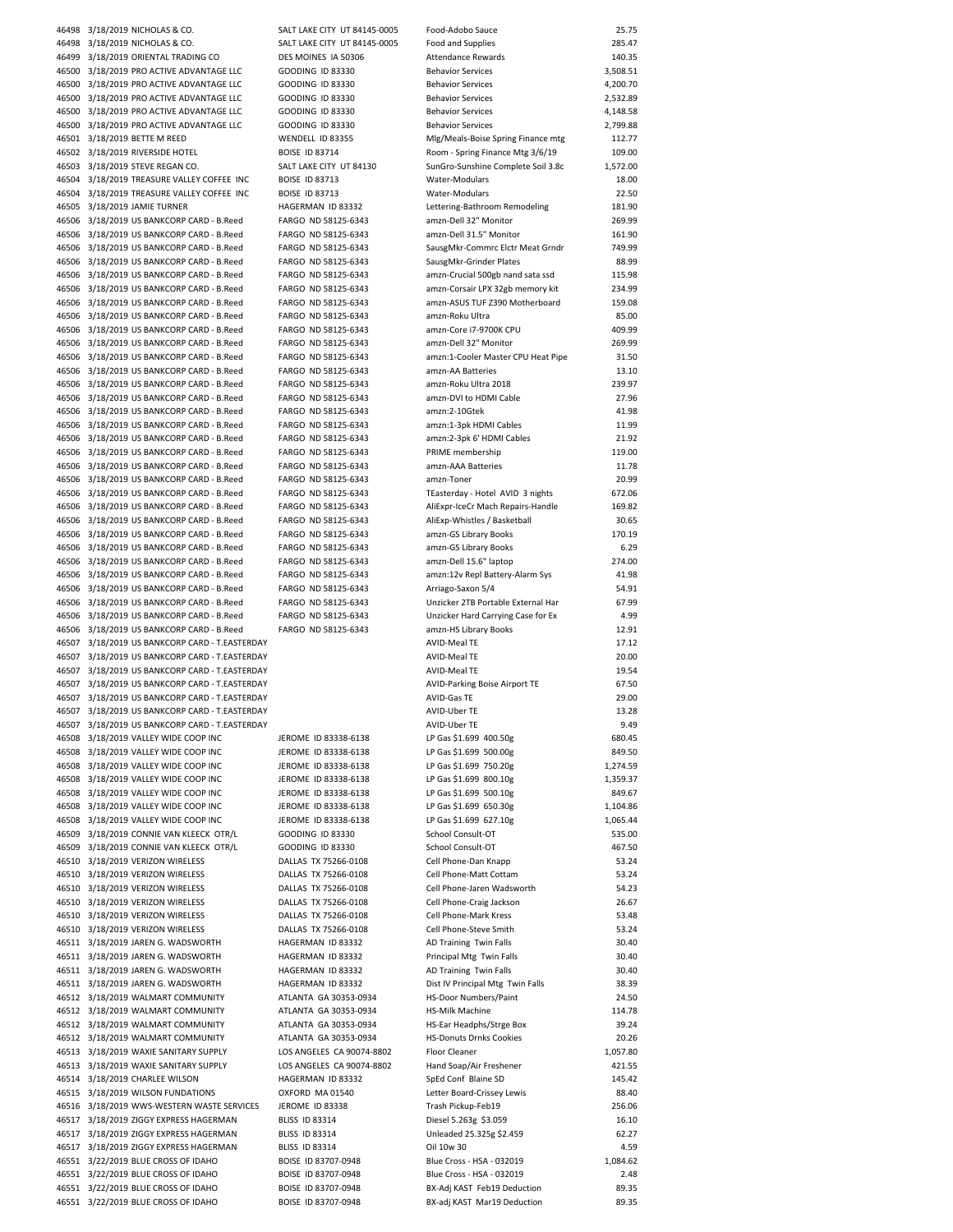| 46498 3/18/2019 NICHOLAS & CO.                                             | SALT LAKE CITY UT 84145-0005 | Food-Adobo Sauce                   | 25.75    |
|----------------------------------------------------------------------------|------------------------------|------------------------------------|----------|
| 46498 3/18/2019 NICHOLAS & CO.                                             | SALT LAKE CITY UT 84145-0005 | Food and Supplies                  | 285.47   |
| 46499 3/18/2019 ORIENTAL TRADING CO                                        | DES MOINES IA 50306          | Attendance Rewards                 | 140.35   |
| 46500 3/18/2019 PRO ACTIVE ADVANTAGE LLC                                   | <b>GOODING ID 83330</b>      | <b>Behavior Services</b>           | 3,508.51 |
| 46500 3/18/2019 PRO ACTIVE ADVANTAGE LLC                                   | <b>GOODING ID 83330</b>      | <b>Behavior Services</b>           | 4,200.70 |
| 46500 3/18/2019 PRO ACTIVE ADVANTAGE LLC                                   | <b>GOODING ID 83330</b>      | <b>Behavior Services</b>           | 2,532.89 |
| 46500 3/18/2019 PRO ACTIVE ADVANTAGE LLC                                   | <b>GOODING ID 83330</b>      | <b>Behavior Services</b>           | 4,148.58 |
| 46500 3/18/2019 PRO ACTIVE ADVANTAGE LLC                                   | <b>GOODING ID 83330</b>      | <b>Behavior Services</b>           | 2,799.88 |
| 46501 3/18/2019 BETTE M REED                                               | WENDELL ID 83355             | Mlg/Meals-Boise Spring Finance mtg | 112.77   |
| 46502 3/18/2019 RIVERSIDE HOTEL                                            | <b>BOISE ID 83714</b>        | Room - Spring Finance Mtg 3/6/19   | 109.00   |
| 46503 3/18/2019 STEVE REGAN CO.                                            | SALT LAKE CITY UT 84130      | SunGro-Sunshine Complete Soil 3.8c | 1,572.00 |
|                                                                            |                              |                                    |          |
| 46504 3/18/2019 TREASURE VALLEY COFFEE INC                                 | <b>BOISE ID 83713</b>        | Water-Modulars                     | 18.00    |
| 46504 3/18/2019 TREASURE VALLEY COFFEE INC                                 | <b>BOISE ID 83713</b>        | Water-Modulars                     | 22.50    |
| 46505 3/18/2019 JAMIE TURNER                                               | HAGERMAN ID 83332            | Lettering-Bathroom Remodeling      | 181.90   |
| 46506 3/18/2019 US BANKCORP CARD - B.Reed                                  | FARGO ND 58125-6343          | amzn-Dell 32" Monitor              | 269.99   |
| 46506 3/18/2019 US BANKCORP CARD - B.Reed                                  | FARGO ND 58125-6343          | amzn-Dell 31.5" Monitor            | 161.90   |
| 46506 3/18/2019 US BANKCORP CARD - B.Reed                                  | FARGO ND 58125-6343          | SausgMkr-Commrc Elctr Meat Grndr   | 749.99   |
| 46506 3/18/2019 US BANKCORP CARD - B.Reed                                  | FARGO ND 58125-6343          | SausgMkr-Grinder Plates            | 88.99    |
| 46506 3/18/2019 US BANKCORP CARD - B.Reed                                  | FARGO ND 58125-6343          | amzn-Crucial 500gb nand sata ssd   | 115.98   |
| 46506 3/18/2019 US BANKCORP CARD - B.Reed                                  | FARGO ND 58125-6343          | amzn-Corsair LPX 32gb memory kit   | 234.99   |
| 46506 3/18/2019 US BANKCORP CARD - B.Reed                                  | FARGO ND 58125-6343          | amzn-ASUS TUF Z390 Motherboard     | 159.08   |
| 46506 3/18/2019 US BANKCORP CARD - B.Reed                                  | FARGO ND 58125-6343          | amzn-Roku Ultra                    | 85.00    |
| 46506 3/18/2019 US BANKCORP CARD - B.Reed                                  | FARGO ND 58125-6343          | amzn-Core i7-9700K CPU             | 409.99   |
| 46506 3/18/2019 US BANKCORP CARD - B.Reed                                  | FARGO ND 58125-6343          | amzn-Dell 32" Monitor              | 269.99   |
| 46506 3/18/2019 US BANKCORP CARD - B.Reed                                  |                              | amzn:1-Cooler Master CPU Heat Pipe | 31.50    |
|                                                                            | FARGO ND 58125-6343          |                                    |          |
| 46506 3/18/2019 US BANKCORP CARD - B.Reed                                  | FARGO ND 58125-6343          | amzn-AA Batteries                  | 13.10    |
| 46506 3/18/2019 US BANKCORP CARD - B.Reed                                  | FARGO ND 58125-6343          | amzn-Roku Ultra 2018               | 239.97   |
| 46506 3/18/2019 US BANKCORP CARD - B.Reed                                  | FARGO ND 58125-6343          | amzn-DVI to HDMI Cable             | 27.96    |
| 46506 3/18/2019 US BANKCORP CARD - B.Reed                                  | FARGO ND 58125-6343          | amzn:2-10Gtek                      | 41.98    |
| 46506 3/18/2019 US BANKCORP CARD - B.Reed                                  | FARGO ND 58125-6343          | amzn:1-3pk HDMI Cables             | 11.99    |
| 46506 3/18/2019 US BANKCORP CARD - B.Reed                                  | FARGO ND 58125-6343          | amzn:2-3pk 6' HDMI Cables          | 21.92    |
| 46506 3/18/2019 US BANKCORP CARD - B.Reed                                  | FARGO ND 58125-6343          | PRIME membership                   | 119.00   |
| 46506 3/18/2019 US BANKCORP CARD - B.Reed                                  | FARGO ND 58125-6343          | amzn-AAA Batteries                 | 11.78    |
| 46506 3/18/2019 US BANKCORP CARD - B.Reed                                  | FARGO ND 58125-6343          | amzn-Toner                         | 20.99    |
| 46506 3/18/2019 US BANKCORP CARD - B.Reed                                  | FARGO ND 58125-6343          | TEasterday - Hotel AVID 3 nights   | 672.06   |
| 46506 3/18/2019 US BANKCORP CARD - B.Reed                                  | FARGO ND 58125-6343          | AliExpr-IceCr Mach Repairs-Handle  | 169.82   |
| 46506 3/18/2019 US BANKCORP CARD - B.Reed                                  | FARGO ND 58125-6343          | AliExp-Whistles / Basketball       | 30.65    |
| 46506 3/18/2019 US BANKCORP CARD - B.Reed                                  | FARGO ND 58125-6343          | amzn-GS Library Books              | 170.19   |
| 46506 3/18/2019 US BANKCORP CARD - B.Reed                                  |                              |                                    | 6.29     |
|                                                                            | FARGO ND 58125-6343          | amzn-GS Library Books              |          |
| 46506 3/18/2019 US BANKCORP CARD - B.Reed                                  | FARGO ND 58125-6343          | amzn-Dell 15.6" laptop             | 274.00   |
| 46506 3/18/2019 US BANKCORP CARD - B.Reed                                  | FARGO ND 58125-6343          | amzn:12v Repl Battery-Alarm Sys    | 41.98    |
| 46506 3/18/2019 US BANKCORP CARD - B.Reed                                  | FARGO ND 58125-6343          | Arriago-Saxon 5/4                  | 54.91    |
| 46506 3/18/2019 US BANKCORP CARD - B.Reed                                  | FARGO ND 58125-6343          | Unzicker 2TB Portable External Har | 67.99    |
| 46506 3/18/2019 US BANKCORP CARD - B.Reed                                  | FARGO ND 58125-6343          | Unzicker Hard Carrying Case for Ex | 4.99     |
| 46506 3/18/2019 US BANKCORP CARD - B.Reed                                  | FARGO ND 58125-6343          | amzn-HS Library Books              | 12.91    |
| 46507 3/18/2019 US BANKCORP CARD - T.EASTERDAY                             |                              | <b>AVID-Meal TE</b>                | 17.12    |
| 46507 3/18/2019 US BANKCORP CARD - T.EASTERDAY                             |                              | <b>AVID-Meal TE</b>                | 20.00    |
| 46507 3/18/2019 US BANKCORP CARD - T.EASTERDAY                             |                              | AVID-Meal TE                       | 19.54    |
| 46507 3/18/2019 US BANKCORP CARD - T.EASTERDAY                             |                              | AVID-Parking Boise Airport TE      | 67.50    |
| 46507 3/18/2019 US BANKCORP CARD - T.EASTERDAY                             |                              | <b>AVID-Gas TE</b>                 | 29.00    |
|                                                                            |                              | AVID-Uber TE                       | 13.28    |
|                                                                            |                              |                                    |          |
| 46507 3/18/2019 US BANKCORP CARD - T.EASTERDAY                             |                              |                                    |          |
| 46507 3/18/2019 US BANKCORP CARD - T.EASTERDAY                             |                              | AVID-Uber TE                       | 9.49     |
| 46508 3/18/2019 VALLEY WIDE COOP INC                                       | JEROME ID 83338-6138         | LP Gas \$1.699 400.50g             | 680.45   |
| 46508 3/18/2019 VALLEY WIDE COOP INC                                       | JEROME ID 83338-6138         | LP Gas \$1.699 500.00g             | 849.50   |
| 46508 3/18/2019 VALLEY WIDE COOP INC                                       | JEROME ID 83338-6138         | LP Gas \$1.699 750.20g             | 1,274.59 |
| 46508 3/18/2019 VALLEY WIDE COOP INC                                       | JEROME ID 83338-6138         | LP Gas \$1.699 800.10g             | 1,359.37 |
| 46508 3/18/2019 VALLEY WIDE COOP INC                                       | JEROME ID 83338-6138         | LP Gas \$1.699 500.10g             | 849.67   |
| 46508 3/18/2019 VALLEY WIDE COOP INC                                       | JEROME ID 83338-6138         | LP Gas \$1.699 650.30g             | 1,104.86 |
| 46508 3/18/2019 VALLEY WIDE COOP INC                                       | JEROME ID 83338-6138         | LP Gas \$1.699 627.10g             | 1,065.44 |
| 46509 3/18/2019 CONNIE VAN KLEECK OTR/L                                    | <b>GOODING ID 83330</b>      | School Consult-OT                  | 535.00   |
| 46509 3/18/2019 CONNIE VAN KLEECK OTR/L                                    | <b>GOODING ID 83330</b>      | School Consult-OT                  | 467.50   |
| 46510 3/18/2019 VERIZON WIRELESS                                           | DALLAS TX 75266-0108         | Cell Phone-Dan Knapp               | 53.24    |
| 46510 3/18/2019 VERIZON WIRELESS                                           | DALLAS TX 75266-0108         | Cell Phone-Matt Cottam             | 53.24    |
|                                                                            |                              |                                    |          |
| 46510 3/18/2019 VERIZON WIRELESS                                           | DALLAS TX 75266-0108         | Cell Phone-Jaren Wadsworth         | 54.23    |
| 46510 3/18/2019 VERIZON WIRELESS                                           | DALLAS TX 75266-0108         | Cell Phone-Craig Jackson           | 26.67    |
| 46510 3/18/2019 VERIZON WIRELESS                                           | DALLAS TX 75266-0108         | Cell Phone-Mark Kress              | 53.48    |
| 46510 3/18/2019 VERIZON WIRELESS                                           | DALLAS TX 75266-0108         | Cell Phone-Steve Smith             | 53.24    |
| 46511 3/18/2019 JAREN G. WADSWORTH                                         | HAGERMAN ID 83332            | AD Training Twin Falls             | 30.40    |
| 46511 3/18/2019 JAREN G. WADSWORTH                                         | HAGERMAN ID 83332            | Principal Mtg Twin Falls           | 30.40    |
| 46511 3/18/2019 JAREN G. WADSWORTH                                         | HAGERMAN ID 83332            | AD Training Twin Falls             | 30.40    |
| 46511 3/18/2019 JAREN G. WADSWORTH                                         | HAGERMAN ID 83332            | Dist IV Principal Mtg Twin Falls   | 38.39    |
| 46512 3/18/2019 WALMART COMMUNITY                                          | ATLANTA GA 30353-0934        | HS-Door Numbers/Paint              | 24.50    |
| 46512 3/18/2019 WALMART COMMUNITY                                          | ATLANTA GA 30353-0934        | <b>HS-Milk Machine</b>             | 114.78   |
| 46512 3/18/2019 WALMART COMMUNITY                                          | ATLANTA GA 30353-0934        | HS-Ear Headphs/Strge Box           | 39.24    |
| 46512 3/18/2019 WALMART COMMUNITY                                          | ATLANTA GA 30353-0934        | <b>HS-Donuts Drnks Cookies</b>     | 20.26    |
| 46513 3/18/2019 WAXIE SANITARY SUPPLY                                      | LOS ANGELES CA 90074-8802    | Floor Cleaner                      | 1,057.80 |
|                                                                            | LOS ANGELES CA 90074-8802    |                                    | 421.55   |
| 46513 3/18/2019 WAXIE SANITARY SUPPLY                                      | HAGERMAN ID 83332            | Hand Soap/Air Freshener            | 145.42   |
| 46514 3/18/2019 CHARLEE WILSON                                             |                              | SpEd Conf Blaine SD                |          |
| 46515 3/18/2019 WILSON FUNDATIONS                                          | OXFORD MA 01540              | Letter Board-Crissey Lewis         | 88.40    |
| 46516 3/18/2019 WWS-WESTERN WASTE SERVICES                                 | JEROME ID 83338              | Trash Pickup-Feb19                 | 256.06   |
| 46517 3/18/2019 ZIGGY EXPRESS HAGERMAN                                     | <b>BLISS ID 83314</b>        | Diesel 5.263g \$3.059              | 16.10    |
| 46517 3/18/2019 ZIGGY EXPRESS HAGERMAN                                     | <b>BLISS ID 83314</b>        | Unleaded 25.325g \$2.459           | 62.27    |
| 46517 3/18/2019 ZIGGY EXPRESS HAGERMAN                                     | <b>BLISS ID 83314</b>        | Oil 10w 30                         | 4.59     |
| 46551 3/22/2019 BLUE CROSS OF IDAHO                                        | BOISE ID 83707-0948          | Blue Cross - HSA - 032019          | 1,084.62 |
| 46551 3/22/2019 BLUE CROSS OF IDAHO                                        | BOISE ID 83707-0948          | Blue Cross - HSA - 032019          | 2.48     |
| 46551 3/22/2019 BLUE CROSS OF IDAHO<br>46551 3/22/2019 BLUE CROSS OF IDAHO | BOISE ID 83707-0948          | BX-Adj KAST Feb19 Deduction        | 89.35    |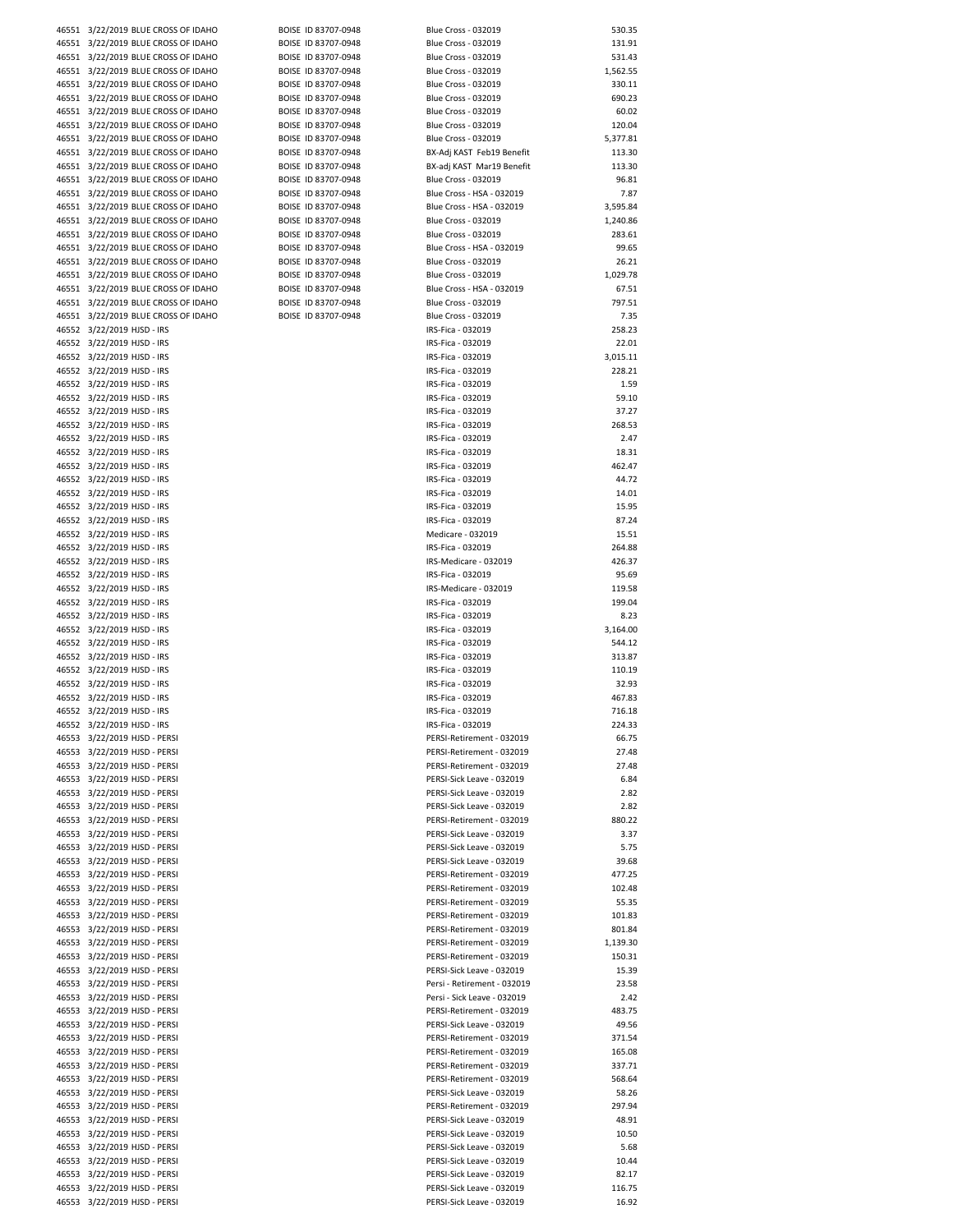|       |                            | 46551 3/22/2019 BLUE CROSS OF IDAHO | BOISE ID 83707-0948 |
|-------|----------------------------|-------------------------------------|---------------------|
|       |                            | 46551 3/22/2019 BLUE CROSS OF IDAHO | BOISE ID 83707-0948 |
| 46551 |                            | 3/22/2019 BLUE CROSS OF IDAHO       | BOISE ID 83707-0948 |
|       |                            | 46551 3/22/2019 BLUE CROSS OF IDAHO | BOISE ID 83707-0948 |
|       |                            | 46551 3/22/2019 BLUE CROSS OF IDAHO | BOISE ID 83707-0948 |
|       |                            | 46551 3/22/2019 BLUE CROSS OF IDAHO | BOISE ID 83707-0948 |
|       |                            | 46551 3/22/2019 BLUE CROSS OF IDAHO | BOISE ID 83707-0948 |
|       |                            |                                     |                     |
|       |                            | 46551 3/22/2019 BLUE CROSS OF IDAHO | BOISE ID 83707-0948 |
|       |                            | 46551 3/22/2019 BLUE CROSS OF IDAHO | BOISE ID 83707-0948 |
|       |                            | 46551 3/22/2019 BLUE CROSS OF IDAHO | BOISE ID 83707-0948 |
| 46551 |                            | 3/22/2019 BLUE CROSS OF IDAHO       | BOISE ID 83707-0948 |
| 46551 |                            | 3/22/2019 BLUE CROSS OF IDAHO       | BOISE ID 83707-0948 |
| 46551 |                            | 3/22/2019 BLUE CROSS OF IDAHO       | BOISE ID 83707-0948 |
| 46551 |                            | 3/22/2019 BLUE CROSS OF IDAHO       | BOISE ID 83707-0948 |
|       |                            | 46551 3/22/2019 BLUE CROSS OF IDAHO | BOISE ID 83707-0948 |
|       |                            |                                     |                     |
| 46551 |                            | 3/22/2019 BLUE CROSS OF IDAHO       | BOISE ID 83707-0948 |
|       |                            | 46551 3/22/2019 BLUE CROSS OF IDAHO | BOISE ID 83707-0948 |
| 46551 |                            | 3/22/2019 BLUE CROSS OF IDAHO       | BOISE ID 83707-0948 |
|       |                            | 46551 3/22/2019 BLUE CROSS OF IDAHO | BOISE ID 83707-0948 |
|       |                            | 46551 3/22/2019 BLUE CROSS OF IDAHO | BOISE ID 83707-0948 |
|       |                            | 46551 3/22/2019 BLUE CROSS OF IDAHO | BOISE ID 83707-0948 |
|       |                            | 46551 3/22/2019 BLUE CROSS OF IDAHO | BOISE ID 83707-0948 |
|       | 46552 3/22/2019 HJSD - IRS |                                     |                     |
|       | 46552 3/22/2019 HJSD - IRS |                                     |                     |
|       |                            |                                     |                     |
|       | 46552 3/22/2019 HJSD - IRS |                                     |                     |
|       | 46552 3/22/2019 HJSD - IRS |                                     |                     |
|       | 46552 3/22/2019 HJSD - IRS |                                     |                     |
|       | 46552 3/22/2019 HJSD - IRS |                                     |                     |
|       | 46552 3/22/2019 HJSD - IRS |                                     |                     |
|       | 46552 3/22/2019 HJSD - IRS |                                     |                     |
|       | 46552 3/22/2019 HJSD - IRS |                                     |                     |
|       | 46552 3/22/2019 HJSD - IRS |                                     |                     |
|       | 46552 3/22/2019 HJSD - IRS |                                     |                     |
|       |                            |                                     |                     |
|       | 46552 3/22/2019 HJSD - IRS |                                     |                     |
|       | 46552 3/22/2019 HJSD - IRS |                                     |                     |
|       | 46552 3/22/2019 HJSD - IRS |                                     |                     |
|       | 46552 3/22/2019 HJSD - IRS |                                     |                     |
| 46552 | 3/22/2019 HJSD - IRS       |                                     |                     |
|       | 46552 3/22/2019 HJSD - IRS |                                     |                     |
|       | 46552 3/22/2019 HJSD - IRS |                                     |                     |
|       | 46552 3/22/2019 HJSD - IRS |                                     |                     |
|       | 46552 3/22/2019 HJSD - IRS |                                     |                     |
|       | 46552 3/22/2019 HJSD - IRS |                                     |                     |
|       |                            |                                     |                     |
|       | 46552 3/22/2019 HJSD - IRS |                                     |                     |
|       | 46552 3/22/2019 HJSD - IRS |                                     |                     |
|       | 46552 3/22/2019 HJSD - IRS |                                     |                     |
|       | 46552 3/22/2019 HJSD - IRS |                                     |                     |
|       | 46552 3/22/2019 HJSD - IRS |                                     |                     |
|       | 46552 3/22/2019 HJSD - IRS |                                     |                     |
|       | 46552 3/22/2019 HJSD - IRS |                                     |                     |
|       | 46552 3/22/2019 HJSD - IRS |                                     |                     |
|       | 46552 3/22/2019 HJSD - IRS |                                     |                     |
|       |                            | 46553 3/22/2019 HJSD - PERSI        |                     |
|       |                            |                                     |                     |
|       |                            | 46553 3/22/2019 HJSD - PERSI        |                     |
|       |                            | 46553 3/22/2019 HJSD - PERSI        |                     |
|       |                            | 46553 3/22/2019 HJSD - PERSI        |                     |
|       |                            | 46553 3/22/2019 HJSD - PERSI        |                     |
|       |                            | 46553 3/22/2019 HJSD - PERSI        |                     |
|       |                            | 46553 3/22/2019 HJSD - PERSI        |                     |
|       |                            | 46553 3/22/2019 HJSD - PERSI        |                     |
| 46553 |                            | 3/22/2019 HJSD - PERSI              |                     |
| 46553 |                            | 3/22/2019 HJSD - PERSI              |                     |
| 46553 |                            | 3/22/2019 HJSD - PERSI              |                     |
|       |                            | 46553 3/22/2019 HJSD - PERSI        |                     |
|       |                            |                                     |                     |
|       |                            | 46553 3/22/2019 HJSD - PERSI        |                     |
| 46553 |                            | 3/22/2019 HJSD - PERSI              |                     |
|       |                            | 46553 3/22/2019 HJSD - PERSI        |                     |
| 46553 |                            | 3/22/2019 HJSD - PERSI              |                     |
|       |                            | 46553 3/22/2019 HJSD - PERSI        |                     |
|       |                            | 46553 3/22/2019 HJSD - PERSI        |                     |
|       |                            | 46553 3/22/2019 HJSD - PERSI        |                     |
|       |                            | 46553 3/22/2019 HJSD - PERSI        |                     |
|       |                            |                                     |                     |
|       |                            | 46553 3/22/2019 HJSD - PERSI        |                     |
| 46553 |                            | 3/22/2019 HJSD - PERSI              |                     |
| 46553 |                            | 3/22/2019 HJSD - PERSI              |                     |
| 46553 |                            | 3/22/2019 HJSD - PERSI              |                     |
| 46553 |                            | 3/22/2019 HJSD - PERSI              |                     |
|       |                            | 46553 3/22/2019 HJSD - PERSI        |                     |
| 46553 |                            | 3/22/2019 HJSD - PERSI              |                     |
|       |                            | 46553 3/22/2019 HJSD - PERSI        |                     |
|       |                            | 46553 3/22/2019 HJSD - PERSI        |                     |
|       |                            | 46553 3/22/2019 HJSD - PERSI        |                     |
|       |                            |                                     |                     |
|       |                            | 46553 3/22/2019 HJSD - PERSI        |                     |
|       |                            | 46553 3/22/2019 HJSD - PERSI        |                     |
| 46553 |                            | 3/22/2019 HJSD - PERSI              |                     |
| 46553 |                            | 3/22/2019 HJSD - PERSI              |                     |
| 46553 |                            | 3/22/2019 HJSD - PERSI              |                     |
|       |                            |                                     |                     |

| 46551 3/22/2019 BLUE CROSS OF IDAHO | BOISE ID 83707-0948 | <b>Blue Cross - 032019</b>  | 530.35   |
|-------------------------------------|---------------------|-----------------------------|----------|
| 46551 3/22/2019 BLUE CROSS OF IDAHO | BOISE ID 83707-0948 | Blue Cross - 032019         | 131.91   |
|                                     |                     |                             |          |
| 46551 3/22/2019 BLUE CROSS OF IDAHO | BOISE ID 83707-0948 | Blue Cross - 032019         | 531.43   |
| 46551 3/22/2019 BLUE CROSS OF IDAHO | BOISE ID 83707-0948 | <b>Blue Cross - 032019</b>  | 1,562.55 |
| 46551 3/22/2019 BLUE CROSS OF IDAHO | BOISE ID 83707-0948 | <b>Blue Cross - 032019</b>  | 330.11   |
| 46551 3/22/2019 BLUE CROSS OF IDAHO | BOISE ID 83707-0948 | <b>Blue Cross - 032019</b>  | 690.23   |
| 46551 3/22/2019 BLUE CROSS OF IDAHO | BOISE ID 83707-0948 | <b>Blue Cross - 032019</b>  | 60.02    |
|                                     |                     |                             |          |
| 46551 3/22/2019 BLUE CROSS OF IDAHO | BOISE ID 83707-0948 | Blue Cross - 032019         | 120.04   |
| 46551 3/22/2019 BLUE CROSS OF IDAHO | BOISE ID 83707-0948 | <b>Blue Cross - 032019</b>  | 5,377.81 |
| 46551 3/22/2019 BLUE CROSS OF IDAHO | BOISE ID 83707-0948 | BX-Adj KAST Feb19 Benefit   | 113.30   |
| 46551 3/22/2019 BLUE CROSS OF IDAHO | BOISE ID 83707-0948 | BX-adj KAST Mar19 Benefit   | 113.30   |
|                                     |                     |                             |          |
| 46551 3/22/2019 BLUE CROSS OF IDAHO | BOISE ID 83707-0948 | <b>Blue Cross - 032019</b>  | 96.81    |
| 46551 3/22/2019 BLUE CROSS OF IDAHO | BOISE ID 83707-0948 | Blue Cross - HSA - 032019   | 7.87     |
| 46551 3/22/2019 BLUE CROSS OF IDAHO | BOISE ID 83707-0948 | Blue Cross - HSA - 032019   | 3,595.84 |
| 46551 3/22/2019 BLUE CROSS OF IDAHO | BOISE ID 83707-0948 | Blue Cross - 032019         | 1,240.86 |
|                                     |                     |                             |          |
| 46551 3/22/2019 BLUE CROSS OF IDAHO | BOISE ID 83707-0948 | <b>Blue Cross - 032019</b>  | 283.61   |
| 46551 3/22/2019 BLUE CROSS OF IDAHO | BOISE ID 83707-0948 | Blue Cross - HSA - 032019   | 99.65    |
| 46551 3/22/2019 BLUE CROSS OF IDAHO | BOISE ID 83707-0948 | <b>Blue Cross - 032019</b>  | 26.21    |
| 46551 3/22/2019 BLUE CROSS OF IDAHO | BOISE ID 83707-0948 | <b>Blue Cross - 032019</b>  | 1,029.78 |
|                                     |                     |                             |          |
| 46551 3/22/2019 BLUE CROSS OF IDAHO | BOISE ID 83707-0948 | Blue Cross - HSA - 032019   | 67.51    |
| 46551 3/22/2019 BLUE CROSS OF IDAHO | BOISE ID 83707-0948 | <b>Blue Cross - 032019</b>  | 797.51   |
| 46551 3/22/2019 BLUE CROSS OF IDAHO | BOISE ID 83707-0948 | Blue Cross - 032019         | 7.35     |
| 46552 3/22/2019 HJSD - IRS          |                     | IRS-Fica - 032019           | 258.23   |
|                                     |                     | IRS-Fica - 032019           |          |
| 46552 3/22/2019 HJSD - IRS          |                     |                             | 22.01    |
| 46552 3/22/2019 HJSD - IRS          |                     | IRS-Fica - 032019           | 3,015.11 |
| 46552 3/22/2019 HJSD - IRS          |                     | IRS-Fica - 032019           | 228.21   |
| 46552 3/22/2019 HJSD - IRS          |                     | IRS-Fica - 032019           | 1.59     |
|                                     |                     |                             |          |
| 46552 3/22/2019 HJSD - IRS          |                     | IRS-Fica - 032019           | 59.10    |
| 46552 3/22/2019 HJSD - IRS          |                     | IRS-Fica - 032019           | 37.27    |
| 46552 3/22/2019 HJSD - IRS          |                     | IRS-Fica - 032019           | 268.53   |
| 46552 3/22/2019 HJSD - IRS          |                     | IRS-Fica - 032019           | 2.47     |
|                                     |                     |                             |          |
| 46552 3/22/2019 HJSD - IRS          |                     | IRS-Fica - 032019           | 18.31    |
| 46552 3/22/2019 HJSD - IRS          |                     | IRS-Fica - 032019           | 462.47   |
| 46552 3/22/2019 HJSD - IRS          |                     | IRS-Fica - 032019           | 44.72    |
| 46552 3/22/2019 HJSD - IRS          |                     | IRS-Fica - 032019           | 14.01    |
|                                     |                     |                             |          |
| 46552 3/22/2019 HJSD - IRS          |                     | IRS-Fica - 032019           | 15.95    |
| 46552 3/22/2019 HJSD - IRS          |                     | IRS-Fica - 032019           | 87.24    |
| 46552 3/22/2019 HJSD - IRS          |                     | Medicare - 032019           | 15.51    |
| 46552 3/22/2019 HJSD - IRS          |                     | IRS-Fica - 032019           | 264.88   |
|                                     |                     |                             |          |
| 46552 3/22/2019 HJSD - IRS          |                     | IRS-Medicare - 032019       | 426.37   |
| 46552 3/22/2019 HJSD - IRS          |                     | IRS-Fica - 032019           | 95.69    |
| 46552 3/22/2019 HJSD - IRS          |                     | IRS-Medicare - 032019       | 119.58   |
| 46552 3/22/2019 HJSD - IRS          |                     | IRS-Fica - 032019           | 199.04   |
|                                     |                     |                             |          |
| 46552 3/22/2019 HJSD - IRS          |                     | IRS-Fica - 032019           | 8.23     |
| 46552 3/22/2019 HJSD - IRS          |                     | IRS-Fica - 032019           | 3,164.00 |
| 46552 3/22/2019 HJSD - IRS          |                     | IRS-Fica - 032019           | 544.12   |
| 46552 3/22/2019 HJSD - IRS          |                     | IRS-Fica - 032019           | 313.87   |
|                                     |                     |                             |          |
| 46552 3/22/2019 HJSD - IRS          |                     | IRS-Fica - 032019           | 110.19   |
| 46552 3/22/2019 HJSD - IRS          |                     | IRS-Fica - 032019           | 32.93    |
| 46552 3/22/2019 HJSD - IRS          |                     | IRS-Fica - 032019           | 467.83   |
| 46552 3/22/2019 HJSD - IRS          |                     | IRS-Fica - 032019           | 716.18   |
|                                     |                     |                             |          |
| 46552 3/22/2019 HJSD - IRS          |                     | IRS-Fica - 032019           | 224.33   |
| 46553 3/22/2019 HJSD - PERSI        |                     | PERSI-Retirement - 032019   | 66.75    |
| 46553 3/22/2019 HJSD - PERSI        |                     | PERSI-Retirement - 032019   | 27.48    |
| 46553 3/22/2019 HJSD - PERSI        |                     | PERSI-Retirement - 032019   | 27.48    |
|                                     |                     |                             |          |
| 46553 3/22/2019 HJSD - PERSI        |                     | PERSI-Sick Leave - 032019   | 6.84     |
| 46553 3/22/2019 HJSD - PERSI        |                     | PERSI-Sick Leave - 032019   | 2.82     |
| 46553 3/22/2019 HJSD - PERSI        |                     | PERSI-Sick Leave - 032019   | 2.82     |
| 46553 3/22/2019 HJSD - PERSI        |                     | PERSI-Retirement - 032019   |          |
|                                     |                     |                             | 880.22   |
| 46553 3/22/2019 HJSD - PERSI        |                     | PERSI-Sick Leave - 032019   | 3.37     |
| 46553 3/22/2019 HJSD - PERSI        |                     | PERSI-Sick Leave - 032019   | 5.75     |
| 46553 3/22/2019 HJSD - PERSI        |                     | PERSI-Sick Leave - 032019   | 39.68    |
| 46553 3/22/2019 HJSD - PERSI        |                     | PERSI-Retirement - 032019   | 477.25   |
|                                     |                     |                             |          |
| 46553 3/22/2019 HJSD - PERSI        |                     | PERSI-Retirement - 032019   | 102.48   |
| 46553 3/22/2019 HJSD - PERSI        |                     | PERSI-Retirement - 032019   | 55.35    |
| 46553 3/22/2019 HJSD - PERSI        |                     | PERSI-Retirement - 032019   | 101.83   |
| 46553 3/22/2019 HJSD - PERSI        |                     | PERSI-Retirement - 032019   | 801.84   |
|                                     |                     |                             |          |
| 46553 3/22/2019 HJSD - PERSI        |                     | PERSI-Retirement - 032019   | 1,139.30 |
| 46553 3/22/2019 HJSD - PERSI        |                     | PERSI-Retirement - 032019   | 150.31   |
| 46553 3/22/2019 HJSD - PERSI        |                     | PERSI-Sick Leave - 032019   | 15.39    |
| 46553 3/22/2019 HJSD - PERSI        |                     | Persi - Retirement - 032019 | 23.58    |
| 46553 3/22/2019 HJSD - PERSI        |                     | Persi - Sick Leave - 032019 |          |
|                                     |                     |                             | 2.42     |
| 46553 3/22/2019 HJSD - PERSI        |                     | PERSI-Retirement - 032019   | 483.75   |
| 46553 3/22/2019 HJSD - PERSI        |                     | PERSI-Sick Leave - 032019   | 49.56    |
| 46553 3/22/2019 HJSD - PERSI        |                     | PERSI-Retirement - 032019   | 371.54   |
| 46553 3/22/2019 HJSD - PERSI        |                     | PERSI-Retirement - 032019   | 165.08   |
|                                     |                     |                             |          |
| 46553 3/22/2019 HJSD - PERSI        |                     | PERSI-Retirement - 032019   | 337.71   |
| 46553 3/22/2019 HJSD - PERSI        |                     | PERSI-Retirement - 032019   | 568.64   |
| 46553 3/22/2019 HJSD - PERSI        |                     | PERSI-Sick Leave - 032019   | 58.26    |
|                                     |                     |                             |          |
| 46553 3/22/2019 HJSD - PERSI        |                     | PERSI-Retirement - 032019   | 297.94   |
| 46553 3/22/2019 HJSD - PERSI        |                     | PERSI-Sick Leave - 032019   | 48.91    |
| 46553 3/22/2019 HJSD - PERSI        |                     | PERSI-Sick Leave - 032019   | 10.50    |
| 46553 3/22/2019 HJSD - PERSI        |                     | PERSI-Sick Leave - 032019   | 5.68     |
|                                     |                     |                             |          |
| 46553 3/22/2019 HJSD - PERSI        |                     | PERSI-Sick Leave - 032019   | 10.44    |
| 46553 3/22/2019 HJSD - PERSI        |                     | PERSI-Sick Leave - 032019   | 82.17    |
| 46553 3/22/2019 HJSD - PERSI        |                     | PERSI-Sick Leave - 032019   | 116.75   |
| 46553 3/22/2019 HJSD - PERSI        |                     | PERSI-Sick Leave - 032019   | 16.92    |
|                                     |                     |                             |          |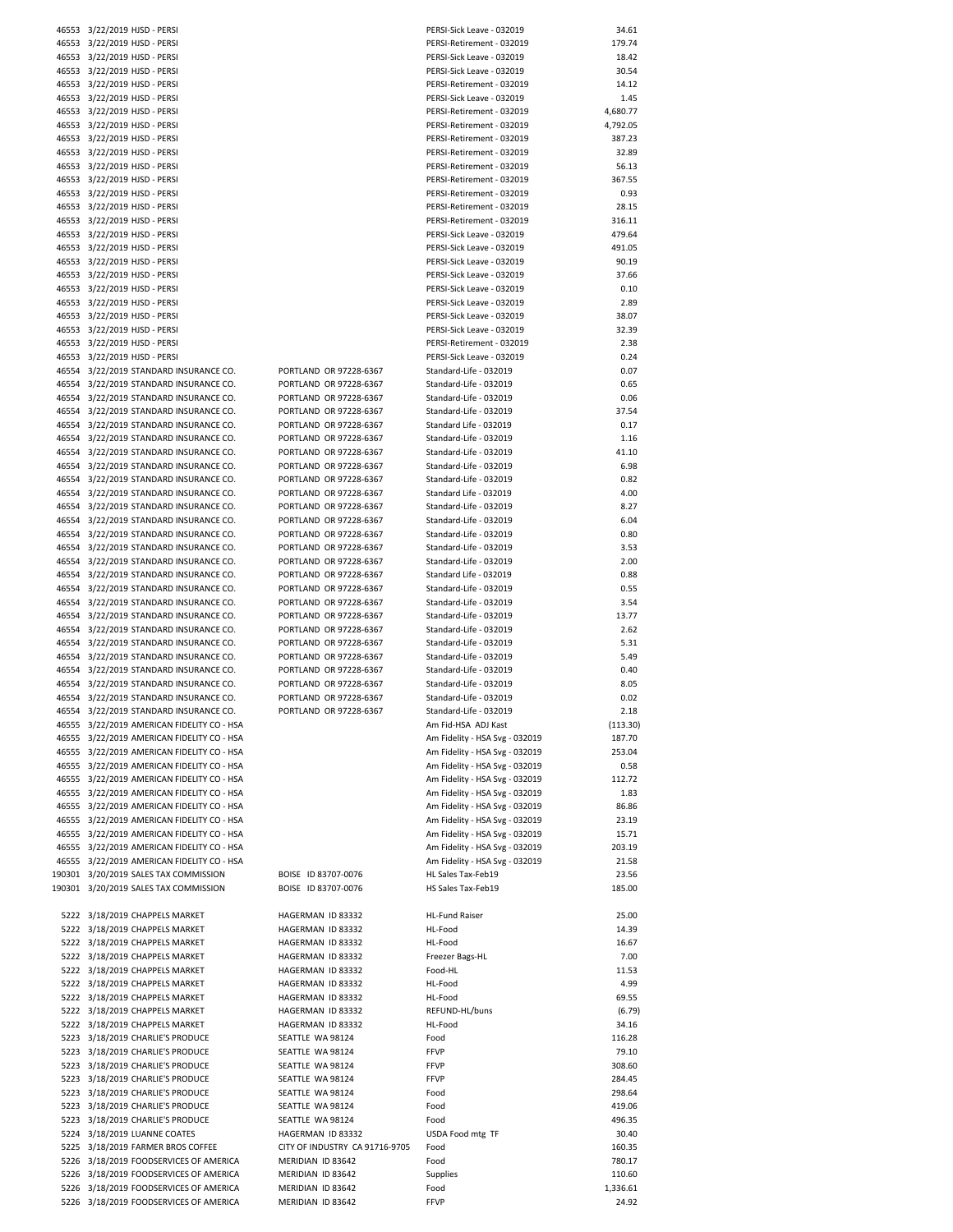| 46553  | 3/22/2019 HJSD - PERSI               |  |
|--------|--------------------------------------|--|
| 46553  | 3/22/2019 HJSD - PERSI               |  |
| 46553  | 3/22/2019 HJSD - PERSI               |  |
| 46553  | 3/22/2019 HJSD - PERSI               |  |
| 46553  | 3/22/2019 HJSD - PERSI               |  |
| 46553  | 3/22/2019 HJSD - PERSI               |  |
| 46553  | 3/22/2019 HJSD - PERSI               |  |
| 46553  | 3/22/2019 HJSD - PERSI               |  |
| 46553  | 3/22/2019 HJSD - PERSI               |  |
| 46553  | 3/22/2019 HJSD - PERSI               |  |
|        |                                      |  |
| 46553  | 3/22/2019 HJSD - PERSI               |  |
| 46553  | 3/22/2019 HJSD - PERSI               |  |
| 46553  | 3/22/2019 HJSD - PERSI               |  |
| 46553  | 3/22/2019 HJSD - PERSI               |  |
| 46553  | 3/22/2019 HJSD - PERSI               |  |
| 46553  | 3/22/2019 HJSD - PERSI               |  |
| 46553  | 3/22/2019 HJSD - PERSI               |  |
| 46553  | 3/22/2019 HJSD - PERSI               |  |
| 46553  | 3/22/2019 HJSD - PERSI               |  |
| 46553  | 3/22/2019 HJSD - PERSI               |  |
| 46553  | 3/22/2019 HJSD - PERSI               |  |
| 46553  | 3/22/2019 HJSD - PERSI               |  |
| 46553  | 3/22/2019 HJSD - PERSI               |  |
| 46553  | 3/22/2019 HJSD - PERSI               |  |
| 46553  | 3/22/2019 HJSD - PERSI               |  |
| 46554  | 3/22/2019 STANDARD INSURANCE CO.     |  |
| 46554  | 3/22/2019 STANDARD INSURANCE CO.     |  |
| 46554  | 3/22/2019 STANDARD INSURANCE CO.     |  |
| 46554  | 3/22/2019 STANDARD INSURANCE CO.     |  |
| 46554  | 3/22/2019 STANDARD INSURANCE CO.     |  |
| 46554  | 3/22/2019 STANDARD INSURANCE CO.     |  |
| 46554  | 3/22/2019 STANDARD INSURANCE CO.     |  |
| 46554  | 3/22/2019 STANDARD INSURANCE CO.     |  |
| 46554  | 3/22/2019 STANDARD INSURANCE CO.     |  |
|        |                                      |  |
| 46554  | 3/22/2019 STANDARD INSURANCE CO.     |  |
| 46554  | 3/22/2019 STANDARD INSURANCE CO.     |  |
| 46554  | 3/22/2019 STANDARD INSURANCE CO.     |  |
| 46554  | 3/22/2019 STANDARD INSURANCE CO.     |  |
| 46554  | 3/22/2019 STANDARD INSURANCE CO.     |  |
| 46554  | 3/22/2019 STANDARD INSURANCE CO.     |  |
| 46554  | 3/22/2019 STANDARD INSURANCE CO.     |  |
| 46554  | 3/22/2019 STANDARD INSURANCE CO.     |  |
| 46554  | 3/22/2019 STANDARD INSURANCE CO.     |  |
| 46554  | 3/22/2019 STANDARD INSURANCE CO.     |  |
| 46554  | 3/22/2019 STANDARD INSURANCE CO.     |  |
| 46554  | 3/22/2019 STANDARD INSURANCE CO.     |  |
| 46554  | 3/22/2019 STANDARD INSURANCE CO.     |  |
| 46554  | 3/22/2019 STANDARD INSURANCE CO.     |  |
| 46554  | 3/22/2019 STANDARD INSURANCE CO.     |  |
| 46554  | 3/22/2019 STANDARD INSURANCE CO.     |  |
| 46554  | 3/22/2019 STANDARD INSURANCE CO.     |  |
| 46555  | 3/22/2019 AMERICAN FIDELITY CO - HSA |  |
| 46555  | 3/22/2019 AMERICAN FIDELITY CO - HSA |  |
| 46555  | 3/22/2019 AMERICAN FIDELITY CO - HSA |  |
| 46555  | 3/22/2019 AMERICAN FIDELITY CO - HSA |  |
| 46555  | 3/22/2019 AMERICAN FIDELITY CO - HSA |  |
| 46555  | 3/22/2019 AMERICAN FIDELITY CO - HSA |  |
| 46555  | 3/22/2019 AMERICAN FIDELITY CO - HSA |  |
|        | 3/22/2019 AMERICAN FIDELITY CO - HSA |  |
| 46555  |                                      |  |
| 46555  | 3/22/2019 AMERICAN FIDELITY CO - HSA |  |
| 46555  | 3/22/2019 AMERICAN FIDELITY CO - HSA |  |
| 46555  | 3/22/2019 AMERICAN FIDELITY CO - HSA |  |
| 190301 | 3/20/2019 SALES TAX COMMISSION       |  |
| 190301 | 3/20/2019 SALES TAX COMMISSION       |  |
|        |                                      |  |
| 5222   | 3/18/2019 CHAPPELS MARKET            |  |
| 5222   | 3/18/2019 CHAPPELS MARKET            |  |
| 5222   | 3/18/2019 CHAPPELS MARKET            |  |
| 5222   | 3/18/2019 CHAPPELS MARKET            |  |
| 5222   | 3/18/2019 CHAPPELS MARKET            |  |
| 5222   | 3/18/2019 CHAPPELS MARKET            |  |
| 5222   | 3/18/2019 CHAPPELS MARKET            |  |
| 5222   | 3/18/2019 CHAPPELS MARKET            |  |
| 5222   | 3/18/2019 CHAPPELS MARKET            |  |
| 5223   | 3/18/2019 CHARLIE'S PRODUCE          |  |
| 5223   | 3/18/2019 CHARLIE'S PRODUCE          |  |
| 5223   | 3/18/2019 CHARLIE'S PRODUCE          |  |
| 5223   | 3/18/2019 CHARLIE'S PRODUCE          |  |
| 5223   | 3/18/2019 CHARLIE'S PRODUCE          |  |
| 5223   | 3/18/2019 CHARLIE'S PRODUCE          |  |
| 5223   | 3/18/2019 CHARLIE'S PRODUCE          |  |
| 5224   | 3/18/2019 LUANNE COATES              |  |
| 5225   | 3/18/2019 FARMER BROS COFFEE         |  |
| 5226   | 3/18/2019 FOODSERVICES OF AMERICA    |  |
| 5226   | 3/18/2019 FOODSERVICES OF AMERICA    |  |
| 5226   | 3/18/2019 FOODSERVICES OF AMERICA    |  |
|        |                                      |  |

|                                            |                                | PERSI-Sick Leave - 032019      | 34.61    |
|--------------------------------------------|--------------------------------|--------------------------------|----------|
| 46553 3/22/2019 HJSD - PERSI               |                                |                                |          |
| 46553 3/22/2019 HJSD - PERSI               |                                | PERSI-Retirement - 032019      | 179.74   |
| 46553 3/22/2019 HJSD - PERSI               |                                | PERSI-Sick Leave - 032019      | 18.42    |
| 46553 3/22/2019 HJSD - PERSI               |                                | PERSI-Sick Leave - 032019      | 30.54    |
| 46553 3/22/2019 HJSD - PERSI               |                                | PERSI-Retirement - 032019      | 14.12    |
|                                            |                                | PERSI-Sick Leave - 032019      | 1.45     |
| 46553 3/22/2019 HJSD - PERSI               |                                |                                |          |
| 46553 3/22/2019 HJSD - PERSI               |                                | PERSI-Retirement - 032019      | 4,680.77 |
| 46553 3/22/2019 HJSD - PERSI               |                                | PERSI-Retirement - 032019      | 4,792.05 |
| 46553 3/22/2019 HJSD - PERSI               |                                | PERSI-Retirement - 032019      | 387.23   |
| 46553 3/22/2019 HJSD - PERSI               |                                | PERSI-Retirement - 032019      | 32.89    |
|                                            |                                |                                |          |
| 46553 3/22/2019 HJSD - PERSI               |                                | PERSI-Retirement - 032019      | 56.13    |
| 46553 3/22/2019 HJSD - PERSI               |                                | PERSI-Retirement - 032019      | 367.55   |
| 46553 3/22/2019 HJSD - PERSI               |                                | PERSI-Retirement - 032019      | 0.93     |
| 46553 3/22/2019 HJSD - PERSI               |                                |                                |          |
|                                            |                                | PERSI-Retirement - 032019      | 28.15    |
| 46553 3/22/2019 HJSD - PERSI               |                                | PERSI-Retirement - 032019      | 316.11   |
| 46553 3/22/2019 HJSD - PERSI               |                                | PERSI-Sick Leave - 032019      | 479.64   |
| 46553 3/22/2019 HJSD - PERSI               |                                | PERSI-Sick Leave - 032019      | 491.05   |
|                                            |                                |                                |          |
| 46553 3/22/2019 HJSD - PERSI               |                                | PERSI-Sick Leave - 032019      | 90.19    |
| 46553 3/22/2019 HJSD - PERSI               |                                | PERSI-Sick Leave - 032019      | 37.66    |
| 46553 3/22/2019 HJSD - PERSI               |                                | PERSI-Sick Leave - 032019      | 0.10     |
| 46553 3/22/2019 HJSD - PERSI               |                                | PERSI-Sick Leave - 032019      | 2.89     |
|                                            |                                |                                | 38.07    |
| 46553 3/22/2019 HJSD - PERSI               |                                | PERSI-Sick Leave - 032019      |          |
| 46553 3/22/2019 HJSD - PERSI               |                                | PERSI-Sick Leave - 032019      | 32.39    |
| 46553 3/22/2019 HJSD - PERSI               |                                | PERSI-Retirement - 032019      | 2.38     |
| 46553 3/22/2019 HJSD - PERSI               |                                | PERSI-Sick Leave - 032019      | 0.24     |
|                                            |                                |                                |          |
| 46554 3/22/2019 STANDARD INSURANCE CO.     | PORTLAND OR 97228-6367         | Standard-Life - 032019         | 0.07     |
| 46554 3/22/2019 STANDARD INSURANCE CO.     | PORTLAND OR 97228-6367         | Standard-Life - 032019         | 0.65     |
| 46554 3/22/2019 STANDARD INSURANCE CO.     | PORTLAND OR 97228-6367         | Standard-Life - 032019         | 0.06     |
| 46554 3/22/2019 STANDARD INSURANCE CO.     | PORTLAND OR 97228-6367         | Standard-Life - 032019         | 37.54    |
|                                            |                                |                                |          |
| 46554 3/22/2019 STANDARD INSURANCE CO.     | PORTLAND OR 97228-6367         | Standard Life - 032019         | 0.17     |
| 46554 3/22/2019 STANDARD INSURANCE CO.     | PORTLAND OR 97228-6367         | Standard-Life - 032019         | 1.16     |
| 46554 3/22/2019 STANDARD INSURANCE CO.     | PORTLAND OR 97228-6367         | Standard-Life - 032019         | 41.10    |
| 46554 3/22/2019 STANDARD INSURANCE CO.     | PORTLAND OR 97228-6367         | Standard-Life - 032019         | 6.98     |
|                                            |                                |                                |          |
| 46554 3/22/2019 STANDARD INSURANCE CO.     | PORTLAND OR 97228-6367         | Standard-Life - 032019         | 0.82     |
| 46554 3/22/2019 STANDARD INSURANCE CO.     | PORTLAND OR 97228-6367         | Standard Life - 032019         | 4.00     |
| 46554 3/22/2019 STANDARD INSURANCE CO.     | PORTLAND OR 97228-6367         | Standard-Life - 032019         | 8.27     |
|                                            |                                |                                |          |
| 46554 3/22/2019 STANDARD INSURANCE CO.     | PORTLAND OR 97228-6367         | Standard-Life - 032019         | 6.04     |
| 46554 3/22/2019 STANDARD INSURANCE CO.     | PORTLAND OR 97228-6367         | Standard-Life - 032019         | 0.80     |
| 46554 3/22/2019 STANDARD INSURANCE CO.     | PORTLAND OR 97228-6367         | Standard-Life - 032019         | 3.53     |
| 46554 3/22/2019 STANDARD INSURANCE CO.     | PORTLAND OR 97228-6367         | Standard-Life - 032019         | 2.00     |
|                                            |                                |                                |          |
| 46554 3/22/2019 STANDARD INSURANCE CO.     | PORTLAND OR 97228-6367         | Standard Life - 032019         | 0.88     |
| 46554 3/22/2019 STANDARD INSURANCE CO.     | PORTLAND OR 97228-6367         | Standard-Life - 032019         | 0.55     |
| 46554 3/22/2019 STANDARD INSURANCE CO.     | PORTLAND OR 97228-6367         | Standard-Life - 032019         | 3.54     |
| 46554 3/22/2019 STANDARD INSURANCE CO.     | PORTLAND OR 97228-6367         | Standard-Life - 032019         | 13.77    |
|                                            |                                |                                |          |
| 46554 3/22/2019 STANDARD INSURANCE CO.     | PORTLAND OR 97228-6367         | Standard-Life - 032019         | 2.62     |
| 46554 3/22/2019 STANDARD INSURANCE CO.     | PORTLAND OR 97228-6367         | Standard-Life - 032019         | 5.31     |
| 46554 3/22/2019 STANDARD INSURANCE CO.     | PORTLAND OR 97228-6367         | Standard-Life - 032019         | 5.49     |
| 46554 3/22/2019 STANDARD INSURANCE CO.     | PORTLAND OR 97228-6367         | Standard-Life - 032019         | 0.40     |
|                                            |                                |                                |          |
| 46554 3/22/2019 STANDARD INSURANCE CO.     | PORTLAND OR 97228-6367         | Standard-Life - 032019         | 8.05     |
| 46554 3/22/2019 STANDARD INSURANCE CO.     | PORTLAND OR 97228-6367         | Standard-Life - 032019         | 0.02     |
| 46554 3/22/2019 STANDARD INSURANCE CO.     | PORTLAND OR 97228-6367         | Standard-Life - 032019         | 2.18     |
| 46555 3/22/2019 AMERICAN FIDELITY CO - HSA |                                |                                |          |
|                                            |                                | Am Fid-HSA ADJ Kast            | (113.30) |
| 46555 3/22/2019 AMERICAN FIDELITY CO - HSA |                                | Am Fidelity - HSA Svg - 032019 | 187.70   |
| 46555 3/22/2019 AMERICAN FIDELITY CO - HSA |                                | Am Fidelity - HSA Svg - 032019 | 253.04   |
| 46555 3/22/2019 AMERICAN FIDELITY CO - HSA |                                | Am Fidelity - HSA Svg - 032019 | 0.58     |
| 46555 3/22/2019 AMERICAN FIDELITY CO - HSA |                                | Am Fidelity - HSA Svg - 032019 | 112.72   |
|                                            |                                |                                |          |
| 46555 3/22/2019 AMERICAN FIDELITY CO - HSA |                                | Am Fidelity - HSA Svg - 032019 | 1.83     |
| 46555 3/22/2019 AMERICAN FIDELITY CO - HSA |                                | Am Fidelity - HSA Svg - 032019 | 86.86    |
| 46555 3/22/2019 AMERICAN FIDELITY CO - HSA |                                | Am Fidelity - HSA Svg - 032019 | 23.19    |
|                                            |                                |                                |          |
| 46555 3/22/2019 AMERICAN FIDELITY CO - HSA |                                | Am Fidelity - HSA Svg - 032019 | 15.71    |
| 46555 3/22/2019 AMERICAN FIDELITY CO - HSA |                                | Am Fidelity - HSA Svg - 032019 | 203.19   |
| 46555 3/22/2019 AMERICAN FIDELITY CO - HSA |                                | Am Fidelity - HSA Svg - 032019 | 21.58    |
| 190301 3/20/2019 SALES TAX COMMISSION      | BOISE ID 83707-0076            | HL Sales Tax-Feb19             | 23.56    |
|                                            | BOISE ID 83707-0076            | HS Sales Tax-Feb19             |          |
| 190301 3/20/2019 SALES TAX COMMISSION      |                                |                                | 185.00   |
|                                            |                                |                                |          |
| 5222 3/18/2019 CHAPPELS MARKET             | HAGERMAN ID 83332              | <b>HL-Fund Raiser</b>          | 25.00    |
| 5222 3/18/2019 CHAPPELS MARKET             | HAGERMAN ID 83332              | HL-Food                        | 14.39    |
| 5222 3/18/2019 CHAPPELS MARKET             |                                |                                |          |
|                                            | HAGERMAN ID 83332              | HL-Food                        | 16.67    |
| 5222 3/18/2019 CHAPPELS MARKET             | HAGERMAN ID 83332              | Freezer Bags-HL                | 7.00     |
| 5222 3/18/2019 CHAPPELS MARKET             | HAGERMAN ID 83332              | Food-HL                        | 11.53    |
| 5222 3/18/2019 CHAPPELS MARKET             | HAGERMAN ID 83332              | HL-Food                        | 4.99     |
| 5222 3/18/2019 CHAPPELS MARKET             | HAGERMAN ID 83332              | HL-Food                        | 69.55    |
|                                            |                                |                                |          |
| 5222 3/18/2019 CHAPPELS MARKET             | HAGERMAN ID 83332              | REFUND-HL/buns                 | (6.79)   |
| 5222 3/18/2019 CHAPPELS MARKET             | HAGERMAN ID 83332              | HL-Food                        | 34.16    |
| 5223 3/18/2019 CHARLIE'S PRODUCE           | SEATTLE WA 98124               | Food                           | 116.28   |
|                                            |                                |                                |          |
| 5223 3/18/2019 CHARLIE'S PRODUCE           | SEATTLE WA 98124               | <b>FFVP</b>                    | 79.10    |
| 5223 3/18/2019 CHARLIE'S PRODUCE           | SEATTLE WA 98124               | <b>FFVP</b>                    | 308.60   |
| 5223 3/18/2019 CHARLIE'S PRODUCE           | SEATTLE WA 98124               | <b>FFVP</b>                    | 284.45   |
| 5223 3/18/2019 CHARLIE'S PRODUCE           | SEATTLE WA 98124               | Food                           | 298.64   |
|                                            |                                |                                |          |
| 5223 3/18/2019 CHARLIE'S PRODUCE           | SEATTLE WA 98124               | Food                           | 419.06   |
| 5223 3/18/2019 CHARLIE'S PRODUCE           | SEATTLE WA 98124               | Food                           | 496.35   |
| 5224 3/18/2019 LUANNE COATES               | HAGERMAN ID 83332              | USDA Food mtg TF               | 30.40    |
| 5225 3/18/2019 FARMER BROS COFFEE          | CITY OF INDUSTRY CA 91716-9705 | Food                           | 160.35   |
|                                            |                                |                                |          |
| 5226 3/18/2019 FOODSERVICES OF AMERICA     | MERIDIAN ID 83642              | Food                           | 780.17   |
| 5226 3/18/2019 FOODSERVICES OF AMERICA     | MERIDIAN ID 83642              | Supplies                       | 110.60   |
| 5226 3/18/2019 FOODSERVICES OF AMERICA     | MERIDIAN ID 83642              | Food                           | 1,336.61 |
| 5226 3/18/2019 FOODSERVICES OF AMERICA     | MERIDIAN ID 83642              | <b>FFVP</b>                    | 24.92    |
|                                            |                                |                                |          |